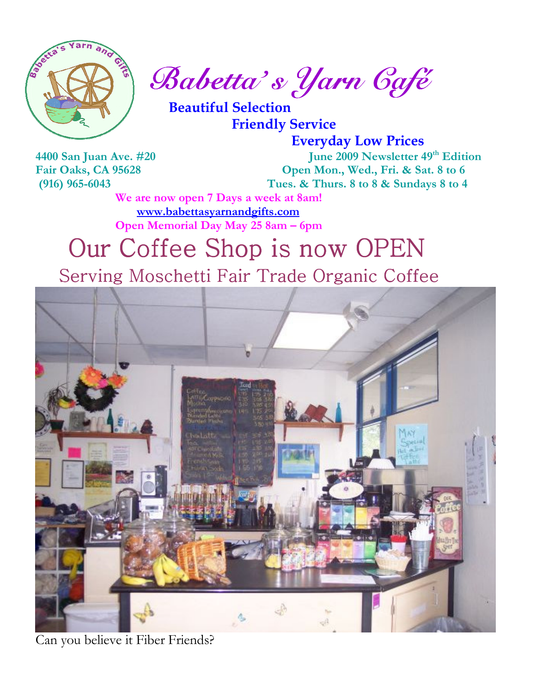

Babetta' s Yarn Café

 Beautiful Selection Friendly Service

 Everyday Low Prices 4400 San Juan Ave. #20 June 2009 Newsletter 49<sup>th</sup> Edition Fair Oaks, CA 95628 Open Mon., Wed., Fri. & Sat. 8 to 6 (916) 965-6043 Tues. & Thurs. 8 to 8 & Sundays 8 to 4

We are now open 7 Days a week at 8am! www.babettasyarnandgifts.com Open Memorial Day May 25 8am – 6pm

# Our Coffee Shop is now OPEN

Serving Moschetti Fair Trade Organic Coffee



Can you believe it Fiber Friends?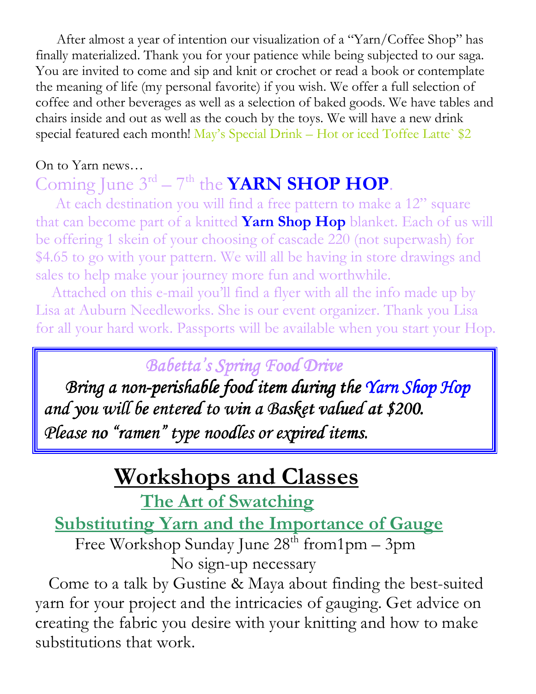After almost a year of intention our visualization of a "Yarn/Coffee Shop" has finally materialized. Thank you for your patience while being subjected to our saga. You are invited to come and sip and knit or crochet or read a book or contemplate the meaning of life (my personal favorite) if you wish. We offer a full selection of coffee and other beverages as well as a selection of baked goods. We have tables and chairs inside and out as well as the couch by the toys. We will have a new drink special featured each month! May's Special Drink – Hot or iced Toffee Latte` \$2

#### On to Yarn news…

## Coming June  $3^{rd} - 7^{th}$  the YARN SHOP HOP.

 At each destination you will find a free pattern to make a 12" square that can become part of a knitted Yarn Shop Hop blanket. Each of us will be offering 1 skein of your choosing of cascade 220 (not superwash) for \$4.65 to go with your pattern. We will all be having in store drawings and sales to help make your journey more fun and worthwhile.

 Attached on this e-mail you'll find a flyer with all the info made up by Lisa at Auburn Needleworks. She is our event organizer. Thank you Lisa for all your hard work. Passports will be available when you start your Hop.

Babetta's Spring Food Drive

Bring a non-perishable food item during the Yarn Shop Hop and you will be entered to win a Basket valued at \$200. Please no "ramen" type noodles or expired items.

# Workshops and Classes

The Art of Swatching

Substituting Yarn and the Importance of Gauge

Free Workshop Sunday June  $28<sup>th</sup>$  from1pm – 3pm No sign-up necessary

 Come to a talk by Gustine & Maya about finding the best-suited yarn for your project and the intricacies of gauging. Get advice on creating the fabric you desire with your knitting and how to make substitutions that work.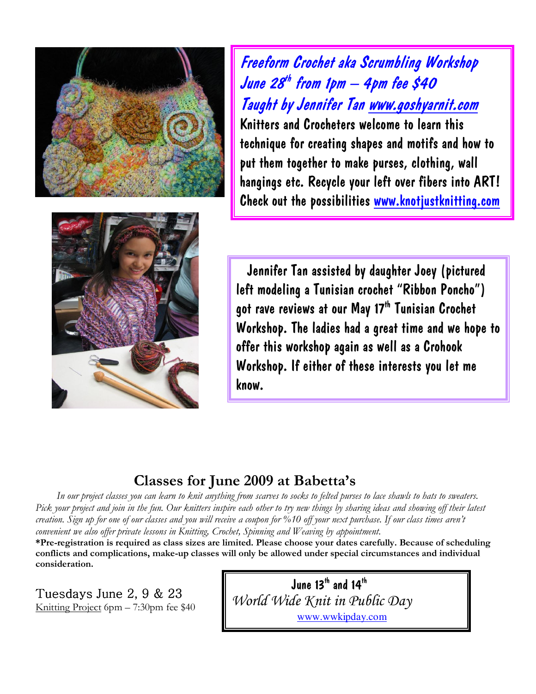

Freeform Crochet aka Scrumbling Workshop June 28<sup>th</sup> from 1pm – 4pm fee \$40 Taught by Jennifer Tan www.goshyarnit.com Knitters and Crocheters welcome to learn this technique for creating shapes and motifs and how to put them together to make purses, clothing, wall hangings etc. Recycle your left over fibers into ART! Check out the possibilities www.knotjustknitting.com



 Jennifer Tan assisted by daughter Joey (pictured left modeling a Tunisian crochet "Ribbon Poncho") got rave reviews at our May 17<sup>th</sup> Tunisian Crochet Workshop. The ladies had a great time and we hope to offer this workshop again as well as a Crohook Workshop. If either of these interests you let me know.

### Classes for June 2009 at Babetta's

 In our project classes you can learn to knit anything from scarves to socks to felted purses to lace shawls to hats to sweaters. Pick your project and join in the fun. Our knitters inspire each other to try new things by sharing ideas and showing off their latest creation. Sign up for one of our classes and you will receive a coupon for %10 off your next purchase. If our class times aren't convenient we also offer private lessons in Knitting, Crochet, Spinning and Weaving by appointment.

\*Pre-registration is required as class sizes are limited. Please choose your dates carefully. Because of scheduling conflicts and complications, make-up classes will only be allowed under special circumstances and individual consideration.

#### Tuesdays June 2,  $9 & 23$

Knitting Project 6pm – 7:30pm fee \$40

June  $13^{th}$  and  $14^{th}$ World Wide Knit in Public Day www.wwkipday.com